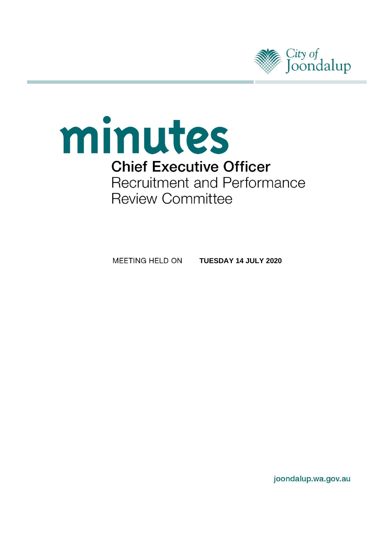

# minutes **Chief Executive Officer** Recruitment and Performance **Review Committee**

MEETING HELD ON **TUESDAY 14 JULY 2020**

joondalup.wa.gov.au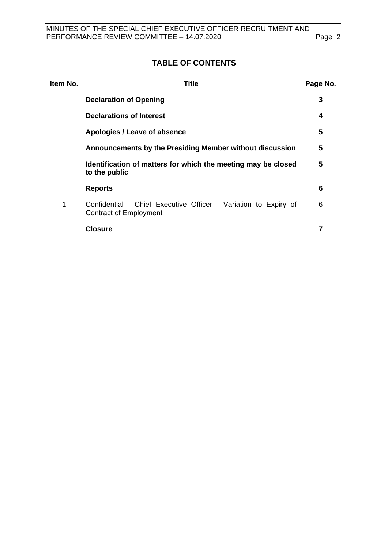# **TABLE OF CONTENTS**

| Item No. | Title                                                                                     | Page No. |
|----------|-------------------------------------------------------------------------------------------|----------|
|          | <b>Declaration of Opening</b>                                                             | 3        |
|          | <b>Declarations of Interest</b>                                                           | 4        |
|          | Apologies / Leave of absence                                                              | 5        |
|          | Announcements by the Presiding Member without discussion                                  | 5        |
|          | Identification of matters for which the meeting may be closed<br>to the public            | 5        |
|          | <b>Reports</b>                                                                            | 6        |
| 1        | Confidential - Chief Executive Officer - Variation to Expiry of<br>Contract of Employment | 6        |
|          | <b>Closure</b>                                                                            |          |
|          |                                                                                           |          |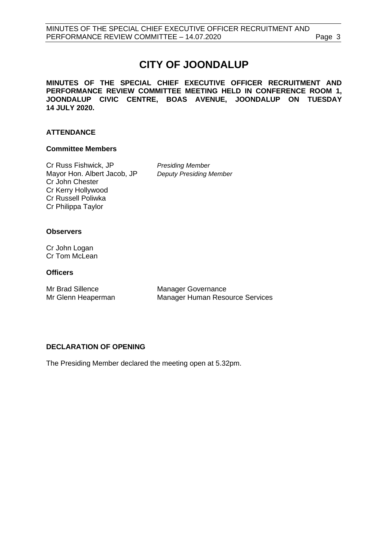# **CITY OF JOONDALUP**

**MINUTES OF THE SPECIAL CHIEF EXECUTIVE OFFICER RECRUITMENT AND PERFORMANCE REVIEW COMMITTEE MEETING HELD IN CONFERENCE ROOM 1, JOONDALUP CIVIC CENTRE, BOAS AVENUE, JOONDALUP ON TUESDAY 14 JULY 2020.** 

#### **ATTENDANCE**

#### **Committee Members**

Cr Russ Fishwick, JP *Presiding Member* Mayor Hon. Albert Jacob, JP *Deputy Presiding Member* Cr John Chester Cr Kerry Hollywood Cr Russell Poliwka Cr Philippa Taylor

#### **Observers**

Cr John Logan Cr Tom McLean

#### **Officers**

Mr Brad Sillence Manager Governance<br>Mr Glenn Heaperman Manager Human Resc

Manager Human Resource Services

### <span id="page-2-0"></span>**DECLARATION OF OPENING**

<span id="page-2-1"></span>The Presiding Member declared the meeting open at 5.32pm.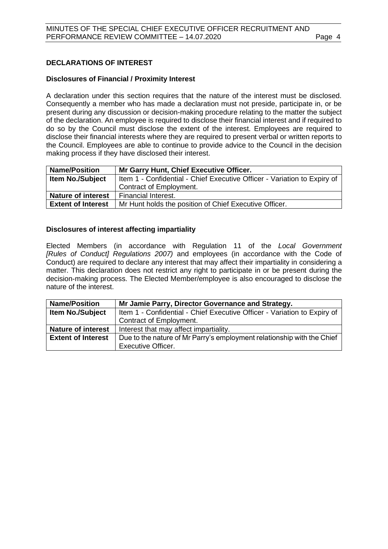#### **DECLARATIONS OF INTEREST**

#### **Disclosures of Financial / Proximity Interest**

A declaration under this section requires that the nature of the interest must be disclosed. Consequently a member who has made a declaration must not preside, participate in, or be present during any discussion or decision-making procedure relating to the matter the subject of the declaration. An employee is required to disclose their financial interest and if required to do so by the Council must disclose the extent of the interest. Employees are required to disclose their financial interests where they are required to present verbal or written reports to the Council. Employees are able to continue to provide advice to the Council in the decision making process if they have disclosed their interest.

| <b>Name/Position</b>      | Mr Garry Hunt, Chief Executive Officer.                                  |  |
|---------------------------|--------------------------------------------------------------------------|--|
| <b>Item No./Subject</b>   | Item 1 - Confidential - Chief Executive Officer - Variation to Expiry of |  |
|                           | Contract of Employment.                                                  |  |
| <b>Nature of interest</b> | Financial Interest.                                                      |  |
| <b>Extent of Interest</b> | Mr Hunt holds the position of Chief Executive Officer.                   |  |

#### **Disclosures of interest affecting impartiality**

Elected Members (in accordance with Regulation 11 of the *Local Government [Rules of Conduct] Regulations 2007)* and employees (in accordance with the Code of Conduct) are required to declare any interest that may affect their impartiality in considering a matter. This declaration does not restrict any right to participate in or be present during the decision-making process. The Elected Member/employee is also encouraged to disclose the nature of the interest.

<span id="page-3-0"></span>

| <b>Name/Position</b>      | Mr Jamie Parry, Director Governance and Strategy.                        |  |
|---------------------------|--------------------------------------------------------------------------|--|
| <b>Item No./Subject</b>   | Item 1 - Confidential - Chief Executive Officer - Variation to Expiry of |  |
|                           | Contract of Employment.                                                  |  |
| <b>Nature of interest</b> | Interest that may affect impartiality.                                   |  |
| <b>Extent of Interest</b> | Due to the nature of Mr Parry's employment relationship with the Chief   |  |
|                           | <b>Executive Officer.</b>                                                |  |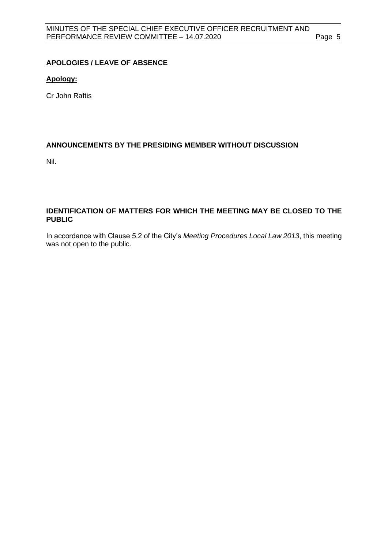#### **APOLOGIES / LEAVE OF ABSENCE**

#### **Apology:**

Cr John Raftis

#### <span id="page-4-0"></span>**ANNOUNCEMENTS BY THE PRESIDING MEMBER WITHOUT DISCUSSION**

Nil.

#### <span id="page-4-1"></span>**IDENTIFICATION OF MATTERS FOR WHICH THE MEETING MAY BE CLOSED TO THE PUBLIC**

In accordance with Clause 5.2 of the City's *Meeting Procedures Local Law 2013*, this meeting was not open to the public.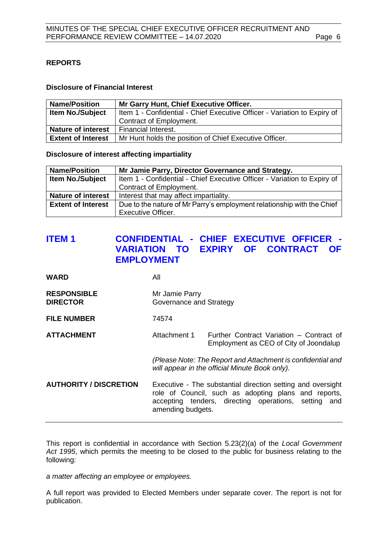#### <span id="page-5-0"></span>**REPORTS**

#### **Disclosure of Financial Interest**

| <b>Name/Position</b>      | Mr Garry Hunt, Chief Executive Officer.                                  |
|---------------------------|--------------------------------------------------------------------------|
| <b>Item No./Subject</b>   | Item 1 - Confidential - Chief Executive Officer - Variation to Expiry of |
|                           | Contract of Employment.                                                  |
| <b>Nature of interest</b> | l Financial Interest.                                                    |
| <b>Extent of Interest</b> | Mr Hunt holds the position of Chief Executive Officer.                   |

**Disclosure of interest affecting impartiality**

| <b>Name/Position</b>      | Mr Jamie Parry, Director Governance and Strategy.                        |  |
|---------------------------|--------------------------------------------------------------------------|--|
| <b>Item No./Subject</b>   | Item 1 - Confidential - Chief Executive Officer - Variation to Expiry of |  |
|                           | Contract of Employment.                                                  |  |
| <b>Nature of interest</b> | Interest that may affect impartiality.                                   |  |
| <b>Extent of Interest</b> | Due to the nature of Mr Parry's employment relationship with the Chief   |  |
|                           | <b>Executive Officer.</b>                                                |  |

# <span id="page-5-1"></span>**ITEM 1 CONFIDENTIAL - CHIEF EXECUTIVE OFFICER - VARIATION TO EXPIRY OF CONTRACT OF EMPLOYMENT**

| <b>WARD</b>                           | All                                                                                                                                                                                              |                                                                                    |  |
|---------------------------------------|--------------------------------------------------------------------------------------------------------------------------------------------------------------------------------------------------|------------------------------------------------------------------------------------|--|
| <b>RESPONSIBLE</b><br><b>DIRECTOR</b> | Mr Jamie Parry<br>Governance and Strategy                                                                                                                                                        |                                                                                    |  |
| <b>FILE NUMBER</b>                    | 74574                                                                                                                                                                                            |                                                                                    |  |
| <b>ATTACHMENT</b>                     | Attachment 1                                                                                                                                                                                     | Further Contract Variation – Contract of<br>Employment as CEO of City of Joondalup |  |
|                                       | (Please Note: The Report and Attachment is confidential and<br>will appear in the official Minute Book only).                                                                                    |                                                                                    |  |
| <b>AUTHORITY / DISCRETION</b>         | Executive - The substantial direction setting and oversight<br>role of Council, such as adopting plans and reports,<br>accepting tenders, directing operations, setting and<br>amending budgets. |                                                                                    |  |

This report is confidential in accordance with Section 5.23(2)(a) of the *Local Government Act 1995*, which permits the meeting to be closed to the public for business relating to the following:

*a matter affecting an employee or employees.*

<span id="page-5-2"></span>A full report was provided to Elected Members under separate cover. The report is not for publication.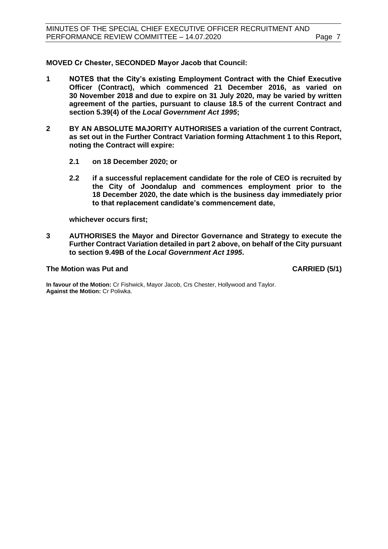**MOVED Cr Chester, SECONDED Mayor Jacob that Council:**

- **1 NOTES that the City's existing Employment Contract with the Chief Executive Officer (Contract), which commenced 21 December 2016, as varied on 30 November 2018 and due to expire on 31 July 2020, may be varied by written agreement of the parties, pursuant to clause 18.5 of the current Contract and section 5.39(4) of the** *Local Government Act 1995***;**
- **2 BY AN ABSOLUTE MAJORITY AUTHORISES a variation of the current Contract, as set out in the Further Contract Variation forming Attachment 1 to this Report, noting the Contract will expire:**
	- **2.1 on 18 December 2020; or**
	- **2.2 if a successful replacement candidate for the role of CEO is recruited by the City of Joondalup and commences employment prior to the 18 December 2020, the date which is the business day immediately prior to that replacement candidate's commencement date,**

**whichever occurs first;**

**3 AUTHORISES the Mayor and Director Governance and Strategy to execute the Further Contract Variation detailed in part 2 above, on behalf of the City pursuant to section 9.49B of the** *Local Government Act 1995***.**

#### **The Motion was Put and CARRIED (5/1)**

**In favour of the Motion:** Cr Fishwick, Mayor Jacob, Crs Chester, Hollywood and Taylor. **Against the Motion:** Cr Poliwka.